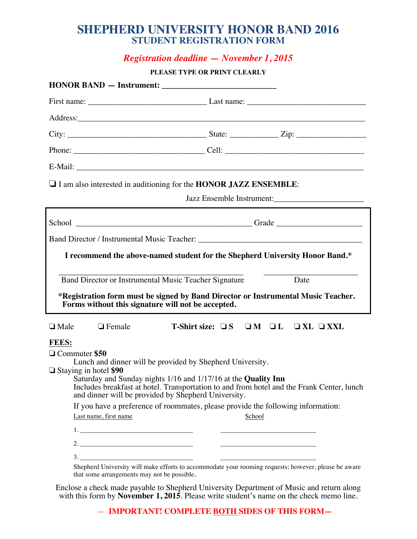### **SHEPHERD UNIVERSITY HONOR BAND 2016 STUDENT REGISTRATION FORM**

## *Registration deadline — November 1, 2015*

#### **PLEASE TYPE OR PRINT CLEARLY**

|                                                                                          |               | $\Box$ I am also interested in auditioning for the HONOR JAZZ ENSEMBLE:                                                                                                                                                                                                          | Jazz Ensemble Instrument:                                                                                                                                                                         |  |  |  |  |
|------------------------------------------------------------------------------------------|---------------|----------------------------------------------------------------------------------------------------------------------------------------------------------------------------------------------------------------------------------------------------------------------------------|---------------------------------------------------------------------------------------------------------------------------------------------------------------------------------------------------|--|--|--|--|
|                                                                                          |               |                                                                                                                                                                                                                                                                                  |                                                                                                                                                                                                   |  |  |  |  |
|                                                                                          |               |                                                                                                                                                                                                                                                                                  |                                                                                                                                                                                                   |  |  |  |  |
| I recommend the above-named student for the Shepherd University Honor Band.*             |               |                                                                                                                                                                                                                                                                                  |                                                                                                                                                                                                   |  |  |  |  |
|                                                                                          |               | Band Director or Instrumental Music Teacher Signature<br>Forms without this signature will not be accepted.                                                                                                                                                                      | Date<br>*Registration form must be signed by Band Director or Instrumental Music Teacher.                                                                                                         |  |  |  |  |
| $\Box$ Male                                                                              | $\Box$ Female | T-Shirt size: $\Box S$ $\Box M$ $\Box L$ $\Box XL$ $\Box XXL$                                                                                                                                                                                                                    |                                                                                                                                                                                                   |  |  |  |  |
| <b>FEES:</b><br>□ Commuter \$50<br>$\Box$ Staying in hotel \$90<br>Last name, first name |               | Lunch and dinner will be provided by Shepherd University.<br>Saturday and Sunday nights 1/16 and 1/17/16 at the Quality Inn<br>and dinner will be provided by Shepherd University.<br>If you have a preference of roommates, please provide the following information:<br>School | Includes breakfast at hotel. Transportation to and from hotel and the Frank Center, lunch<br>Shepherd University will make efforts to accommodate your rooming requests; however, please be aware |  |  |  |  |

Enclose a check made payable to Shepherd University Department of Music and return along with this form by **November 1, 2015**. Please write student's name on the check memo line.

— **IMPORTANT! COMPLETE BOTH SIDES OF THIS FORM—**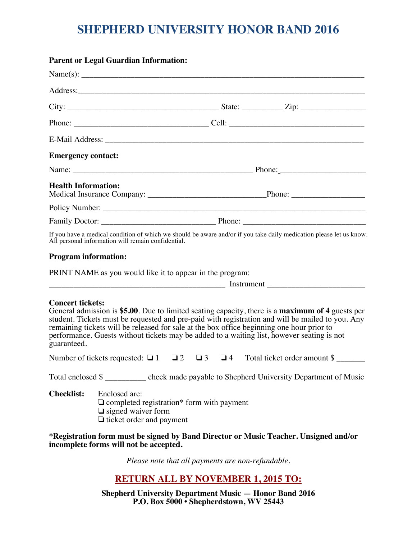# **SHEPHERD UNIVERSITY HONOR BAND 2016**

|                                        | <b>Parent or Legal Guardian Information:</b>                                                                                      |  |          |          |          |                                                                                                                                                                                                                                                                                                                                                                                                 |  |
|----------------------------------------|-----------------------------------------------------------------------------------------------------------------------------------|--|----------|----------|----------|-------------------------------------------------------------------------------------------------------------------------------------------------------------------------------------------------------------------------------------------------------------------------------------------------------------------------------------------------------------------------------------------------|--|
|                                        |                                                                                                                                   |  |          |          |          |                                                                                                                                                                                                                                                                                                                                                                                                 |  |
|                                        |                                                                                                                                   |  |          |          |          |                                                                                                                                                                                                                                                                                                                                                                                                 |  |
|                                        |                                                                                                                                   |  |          |          |          |                                                                                                                                                                                                                                                                                                                                                                                                 |  |
|                                        |                                                                                                                                   |  |          |          |          |                                                                                                                                                                                                                                                                                                                                                                                                 |  |
|                                        |                                                                                                                                   |  |          |          |          |                                                                                                                                                                                                                                                                                                                                                                                                 |  |
| <b>Emergency contact:</b>              |                                                                                                                                   |  |          |          |          |                                                                                                                                                                                                                                                                                                                                                                                                 |  |
|                                        |                                                                                                                                   |  |          |          |          |                                                                                                                                                                                                                                                                                                                                                                                                 |  |
| <b>Health Information:</b>             |                                                                                                                                   |  |          |          |          |                                                                                                                                                                                                                                                                                                                                                                                                 |  |
|                                        |                                                                                                                                   |  |          |          |          |                                                                                                                                                                                                                                                                                                                                                                                                 |  |
|                                        |                                                                                                                                   |  |          |          |          |                                                                                                                                                                                                                                                                                                                                                                                                 |  |
|                                        | All personal information will remain confidential.                                                                                |  |          |          |          | If you have a medical condition of which we should be aware and/or if you take daily medication please let us know.                                                                                                                                                                                                                                                                             |  |
| <b>Program information:</b>            |                                                                                                                                   |  |          |          |          |                                                                                                                                                                                                                                                                                                                                                                                                 |  |
|                                        | PRINT NAME as you would like it to appear in the program:                                                                         |  |          |          |          |                                                                                                                                                                                                                                                                                                                                                                                                 |  |
|                                        |                                                                                                                                   |  |          |          |          |                                                                                                                                                                                                                                                                                                                                                                                                 |  |
| <b>Concert tickets:</b><br>guaranteed. |                                                                                                                                   |  |          |          |          | General admission is \$5.00. Due to limited seating capacity, there is a maximum of 4 guests per<br>student. Tickets must be requested and pre-paid with registration and will be mailed to you. Any<br>remaining tickets will be released for sale at the box office beginning one hour prior to<br>performance. Guests without tickets may be added to a waiting list, however seating is not |  |
|                                        | Number of tickets requested: $\Box$ 1                                                                                             |  | $\Box$ 2 | $\Box$ 3 | $\Box$ 4 | Total ticket order amount \$                                                                                                                                                                                                                                                                                                                                                                    |  |
|                                        |                                                                                                                                   |  |          |          |          | Total enclosed \$ _________ check made payable to Shepherd University Department of Music                                                                                                                                                                                                                                                                                                       |  |
| <b>Checklist:</b>                      | Enclosed are:<br>$\Box$ completed registration* form with payment<br>$\Box$ signed waiver form<br>$\Box$ ticket order and payment |  |          |          |          |                                                                                                                                                                                                                                                                                                                                                                                                 |  |
|                                        | incomplete forms will not be accepted.                                                                                            |  |          |          |          | *Registration form must be signed by Band Director or Music Teacher. Unsigned and/or                                                                                                                                                                                                                                                                                                            |  |
|                                        |                                                                                                                                   |  |          |          |          | Please note that all payments are non-refundable.                                                                                                                                                                                                                                                                                                                                               |  |

**RETURN ALL BY NOVEMBER 1, 2015 TO:**

**Shepherd University Department Music — Honor Band 2016 P.O. Box 5000 • Shepherdstown, WV 25443**